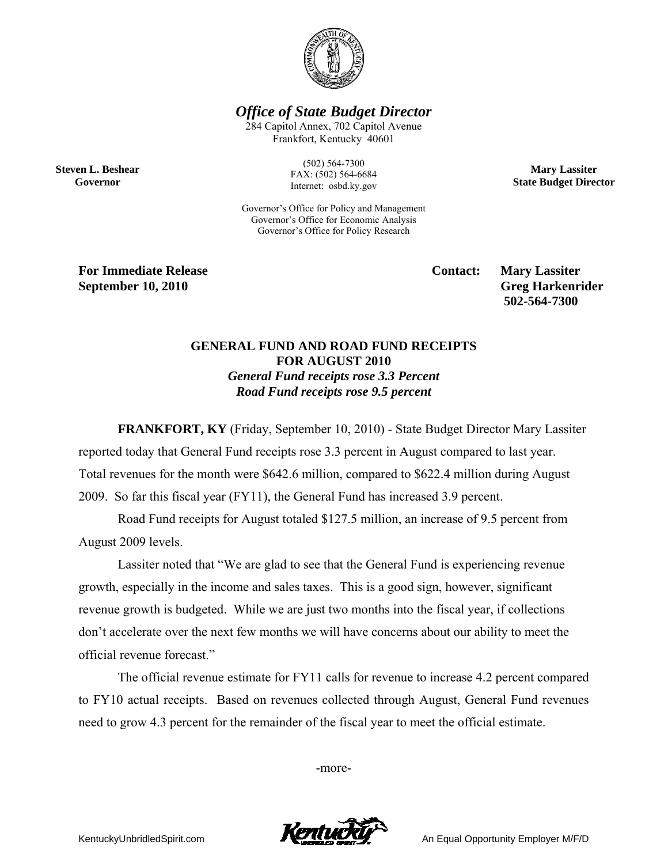

*Office of State Budget Director* 

284 Capitol Annex, 702 Capitol Avenue Frankfort, Kentucky 40601

**Steven L. Beshear Governor** 

(502) 564-7300 FAX: (502) 564-6684 Internet: osbd.ky.gov

Governor's Office for Policy and Management Governor's Office for Economic Analysis Governor's Office for Policy Research

**For Immediate Release Service Service Contact: Mary Lassiter September 10, 2010** Greg Harkenrider

 **502-564-7300** 

**Mary Lassiter State Budget Director** 

## **GENERAL FUND AND ROAD FUND RECEIPTS FOR AUGUST 2010**  *General Fund receipts rose 3.3 Percent Road Fund receipts rose 9.5 percent*

**FRANKFORT, KY** (Friday, September 10, 2010) - State Budget Director Mary Lassiter reported today that General Fund receipts rose 3.3 percent in August compared to last year. Total revenues for the month were \$642.6 million, compared to \$622.4 million during August 2009. So far this fiscal year (FY11), the General Fund has increased 3.9 percent.

Road Fund receipts for August totaled \$127.5 million, an increase of 9.5 percent from August 2009 levels.

Lassiter noted that "We are glad to see that the General Fund is experiencing revenue growth, especially in the income and sales taxes. This is a good sign, however, significant revenue growth is budgeted. While we are just two months into the fiscal year, if collections don't accelerate over the next few months we will have concerns about our ability to meet the official revenue forecast."

 The official revenue estimate for FY11 calls for revenue to increase 4.2 percent compared to FY10 actual receipts. Based on revenues collected through August, General Fund revenues need to grow 4.3 percent for the remainder of the fiscal year to meet the official estimate.

-more-



KentuckyUnbridledSpirit.com **An Equal Opportunity Employer M/F/D**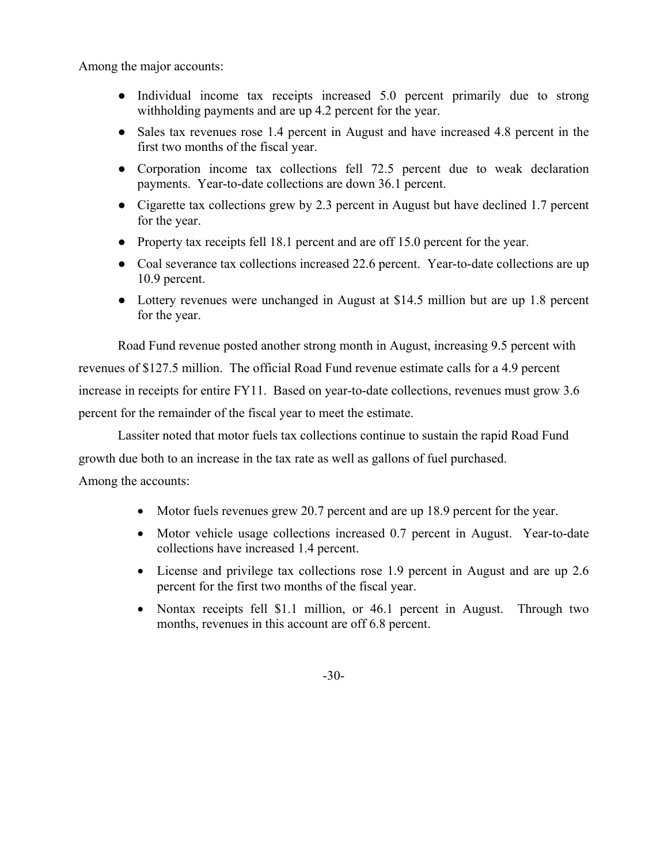Among the major accounts:

- Individual income tax receipts increased 5.0 percent primarily due to strong withholding payments and are up 4.2 percent for the year.
- Sales tax revenues rose 1.4 percent in August and have increased 4.8 percent in the first two months of the fiscal year.
- Corporation income tax collections fell 72.5 percent due to weak declaration payments. Year-to-date collections are down 36.1 percent.
- Cigarette tax collections grew by 2.3 percent in August but have declined 1.7 percent for the year.
- Property tax receipts fell 18.1 percent and are off 15.0 percent for the year.
- Coal severance tax collections increased 22.6 percent. Year-to-date collections are up 10.9 percent.
- Lottery revenues were unchanged in August at \$14.5 million but are up 1.8 percent for the year.

 Road Fund revenue posted another strong month in August, increasing 9.5 percent with revenues of \$127.5 million. The official Road Fund revenue estimate calls for a 4.9 percent increase in receipts for entire FY11. Based on year-to-date collections, revenues must grow 3.6 percent for the remainder of the fiscal year to meet the estimate.

Lassiter noted that motor fuels tax collections continue to sustain the rapid Road Fund growth due both to an increase in the tax rate as well as gallons of fuel purchased. Among the accounts:

- Motor fuels revenues grew 20.7 percent and are up 18.9 percent for the year.
- Motor vehicle usage collections increased 0.7 percent in August. Year-to-date collections have increased 1.4 percent.
- License and privilege tax collections rose 1.9 percent in August and are up 2.6 percent for the first two months of the fiscal year.
- Nontax receipts fell \$1.1 million, or 46.1 percent in August. Through two months, revenues in this account are off 6.8 percent.

-30-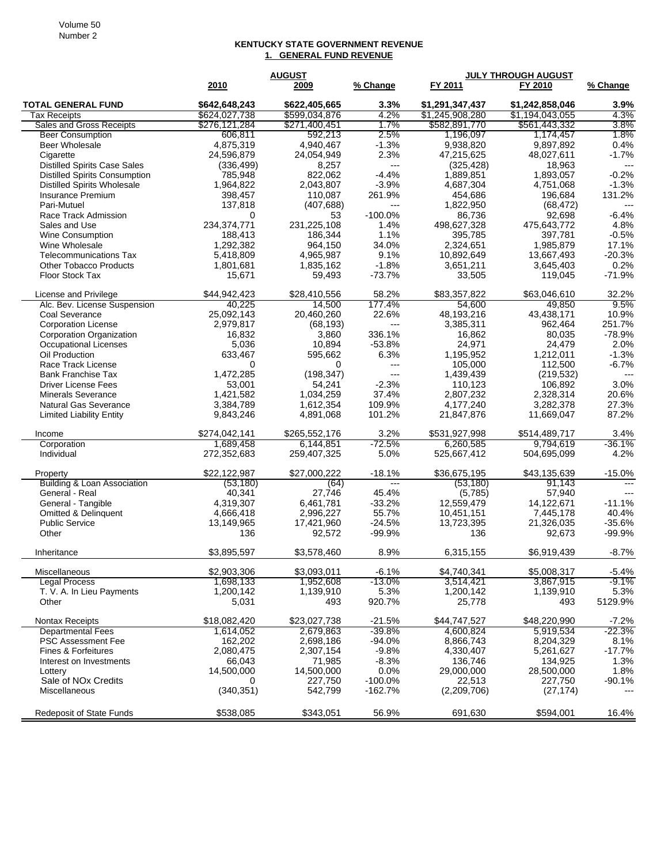## **KENTUCKY STATE GOVERNMENT REVENUE 1. GENERAL FUND REVENUE**

|                                        | <b>AUGUST</b> |               |                | <b>JULY THROUGH AUGUST</b> |                 |          |
|----------------------------------------|---------------|---------------|----------------|----------------------------|-----------------|----------|
|                                        | 2010          | 2009          | % Change       | FY 2011                    | FY 2010         | % Change |
| <b>TOTAL GENERAL FUND</b>              | \$642,648,243 | \$622,405,665 | 3.3%           | \$1,291,347,437            | \$1,242,858,046 | 3.9%     |
| Tax Receipts                           | \$624,027,738 | \$599,034,876 | 4.2%           | \$1,245,908,280            | \$1,194,043,055 | 4.3%     |
| Sales and Gross Receipts               | \$276,121,284 | \$271,400,451 | 1.7%           | \$582,891,770              | \$561,443,332   | 3.8%     |
| <b>Beer Consumption</b>                | 606.811       | 592,213       | 2.5%           | 1,196,097                  | 1,174,457       | 1.8%     |
| <b>Beer Wholesale</b>                  | 4,875,319     | 4,940,467     | $-1.3%$        | 9,938,820                  | 9,897,892       | 0.4%     |
| Cigarette                              | 24,596,879    | 24,054,949    | 2.3%           | 47,215,625                 | 48,027,611      | $-1.7%$  |
| <b>Distilled Spirits Case Sales</b>    | (336, 499)    | 8,257         | ---            | (325, 428)                 | 18,963          | ---      |
| <b>Distilled Spirits Consumption</b>   | 785,948       | 822,062       | $-4.4%$        | 1,889,851                  | 1,893,057       | $-0.2%$  |
| <b>Distilled Spirits Wholesale</b>     | 1,964,822     | 2,043,807     | $-3.9%$        | 4,687,304                  | 4,751,068       | $-1.3%$  |
| <b>Insurance Premium</b>               | 398,457       | 110,087       | 261.9%         | 454,686                    | 196,684         | 131.2%   |
| Pari-Mutuel                            | 137,818       | (407, 688)    | ---            | 1,822,950                  | (68, 472)       | ---      |
| Race Track Admission                   | 0             | 53            | $-100.0%$      | 86,736                     | 92,698          | $-6.4%$  |
| Sales and Use                          | 234,374,771   | 231,225,108   | 1.4%           | 498,627,328                | 475,643,772     | 4.8%     |
| Wine Consumption                       | 188,413       | 186,344       | 1.1%           | 395,785                    | 397,781         | $-0.5%$  |
| Wine Wholesale                         | 1,292,382     | 964,150       | 34.0%          | 2,324,651                  | 1,985,879       | 17.1%    |
| Telecommunications Tax                 | 5,418,809     | 4,965,987     | 9.1%           | 10,892,649                 | 13,667,493      | $-20.3%$ |
| <b>Other Tobacco Products</b>          | 1,801,681     | 1,835,162     | $-1.8%$        | 3,651,211                  | 3,645,403       | 0.2%     |
| Floor Stock Tax                        | 15,671        | 59,493        | $-73.7%$       | 33,505                     | 119,045         | $-71.9%$ |
|                                        |               |               |                |                            |                 |          |
| License and Privilege                  | \$44,942,423  | \$28,410,556  | 58.2%          | \$83,357,822               | \$63,046,610    | 32.2%    |
| Alc. Bev. License Suspension           | 40,225        | 14,500        | 177.4%         | 54,600                     | 49.850          | 9.5%     |
| Coal Severance                         | 25,092,143    | 20,460,260    | 22.6%          | 48,193,216                 | 43,438,171      | 10.9%    |
| <b>Corporation License</b>             | 2,979,817     | (68, 193)     | ---            | 3,385,311                  | 962,464         | 251.7%   |
| <b>Corporation Organization</b>        | 16,832        | 3,860         | 336.1%         | 16,862                     | 80,035          | $-78.9%$ |
| <b>Occupational Licenses</b>           | 5,036         | 10,894        | $-53.8%$       | 24,971                     | 24,479          | 2.0%     |
| Oil Production                         | 633,467       | 595,662       | 6.3%           | 1.195.952                  | 1,212,011       | $-1.3%$  |
| Race Track License                     | 0             | $\Omega$      | $\overline{a}$ | 105,000                    | 112,500         | -6.7%    |
| <b>Bank Franchise Tax</b>              | 1,472,285     | (198, 347)    | $---$          | 1.439.439                  | (219, 532)      | $---$    |
| <b>Driver License Fees</b>             | 53,001        | 54,241        | $-2.3%$        | 110,123                    | 106,892         | 3.0%     |
| <b>Minerals Severance</b>              | 1,421,582     | 1,034,259     | 37.4%          | 2,807,232                  | 2,328,314       | 20.6%    |
| <b>Natural Gas Severance</b>           | 3,384,789     | 1,612,354     | 109.9%         | 4,177,240                  | 3,282,378       | 27.3%    |
| <b>Limited Liability Entity</b>        | 9,843,246     | 4,891,068     | 101.2%         | 21,847,876                 | 11,669,047      | 87.2%    |
|                                        |               |               |                |                            |                 |          |
| Income                                 | \$274,042,141 | \$265,552,176 | 3.2%           | \$531,927,998              | \$514,489,717   | 3.4%     |
| Corporation                            | 1,689,458     | 6,144,851     | -72.5%         | 6,260,585                  | 9,794,619       | $-36.1%$ |
| Individual                             | 272,352,683   | 259,407,325   | 5.0%           | 525,667,412                | 504,695,099     | 4.2%     |
|                                        |               |               |                |                            |                 |          |
| Property                               | \$22,122,987  | \$27,000,222  | $-18.1%$       | \$36,675,195               | \$43,135,639    | $-15.0%$ |
| <b>Building &amp; Loan Association</b> | (53, 180)     | (64)          | $---$          | (53, 180)                  | 91,143          |          |
| General - Real                         | 40,341        | 27,746        | 45.4%          | (5,785)                    | 57,940          |          |
| General - Tangible                     | 4,319,307     | 6,461,781     | $-33.2%$       | 12,559,479                 | 14,122,671      | $-11.1%$ |
| <b>Omitted &amp; Delinquent</b>        | 4,666,418     | 2,996,227     | 55.7%          | 10,451,151                 | 7,445,178       | 40.4%    |
| <b>Public Service</b>                  | 13,149,965    | 17,421,960    | $-24.5%$       | 13,723,395                 | 21,326,035      | $-35.6%$ |
| Other                                  | 136           | 92,572        | $-99.9%$       | 136                        | 92,673          | $-99.9%$ |
|                                        |               |               |                |                            |                 |          |
| Inheritance                            | \$3,895,597   | \$3,578,460   | 8.9%           | 6,315,155                  | \$6,919,439     | $-8.7%$  |
| Miscellaneous                          | \$2,903,306   | \$3,093,011   | $-6.1%$        | \$4,740,341                | \$5,008,317     | $-5.4%$  |
| <b>Legal Process</b>                   | 1,698,133     | 1,952,608     | $-13.0%$       | 3,514,421                  | 3,867,915       | $-9.1%$  |
| T. V. A. In Lieu Payments              | 1,200,142     | 1,139,910     | 5.3%           | 1,200,142                  | 1,139,910       | 5.3%     |
| Other                                  | 5,031         | 493           | 920.7%         | 25,778                     | 493             | 5129.9%  |
|                                        |               |               |                |                            |                 |          |
| Nontax Receipts                        | \$18,082,420  | \$23,027,738  | $-21.5%$       | \$44,747,527               | \$48,220,990    | $-7.2%$  |
| <b>Departmental Fees</b>               | 1,614,052     | 2,679,863     | -39.8%         | 4,600,824                  | 5,919,534       | $-22.3%$ |
| <b>PSC Assessment Fee</b>              | 162,202       | 2,698,186     | $-94.0%$       | 8,866,743                  | 8,204,329       | 8.1%     |
| <b>Fines &amp; Forfeitures</b>         | 2,080,475     | 2,307,154     | $-9.8%$        | 4,330,407                  | 5,261,627       | $-17.7%$ |
| Interest on Investments                | 66,043        | 71,985        | $-8.3%$        | 136,746                    | 134,925         | 1.3%     |
| Lottery                                | 14,500,000    | 14,500,000    | 0.0%           | 29,000,000                 | 28,500,000      | 1.8%     |
| Sale of NO <sub>x</sub> Credits        | 0             | 227,750       | $-100.0%$      | 22,513                     | 227,750         | $-90.1%$ |
| Miscellaneous                          | (340, 351)    | 542,799       | $-162.7%$      | (2,209,706)                | (27, 174)       |          |
|                                        |               |               |                |                            |                 |          |
| <b>Redeposit of State Funds</b>        | \$538,085     | \$343,051     | 56.9%          | 691,630                    | \$594,001       | 16.4%    |